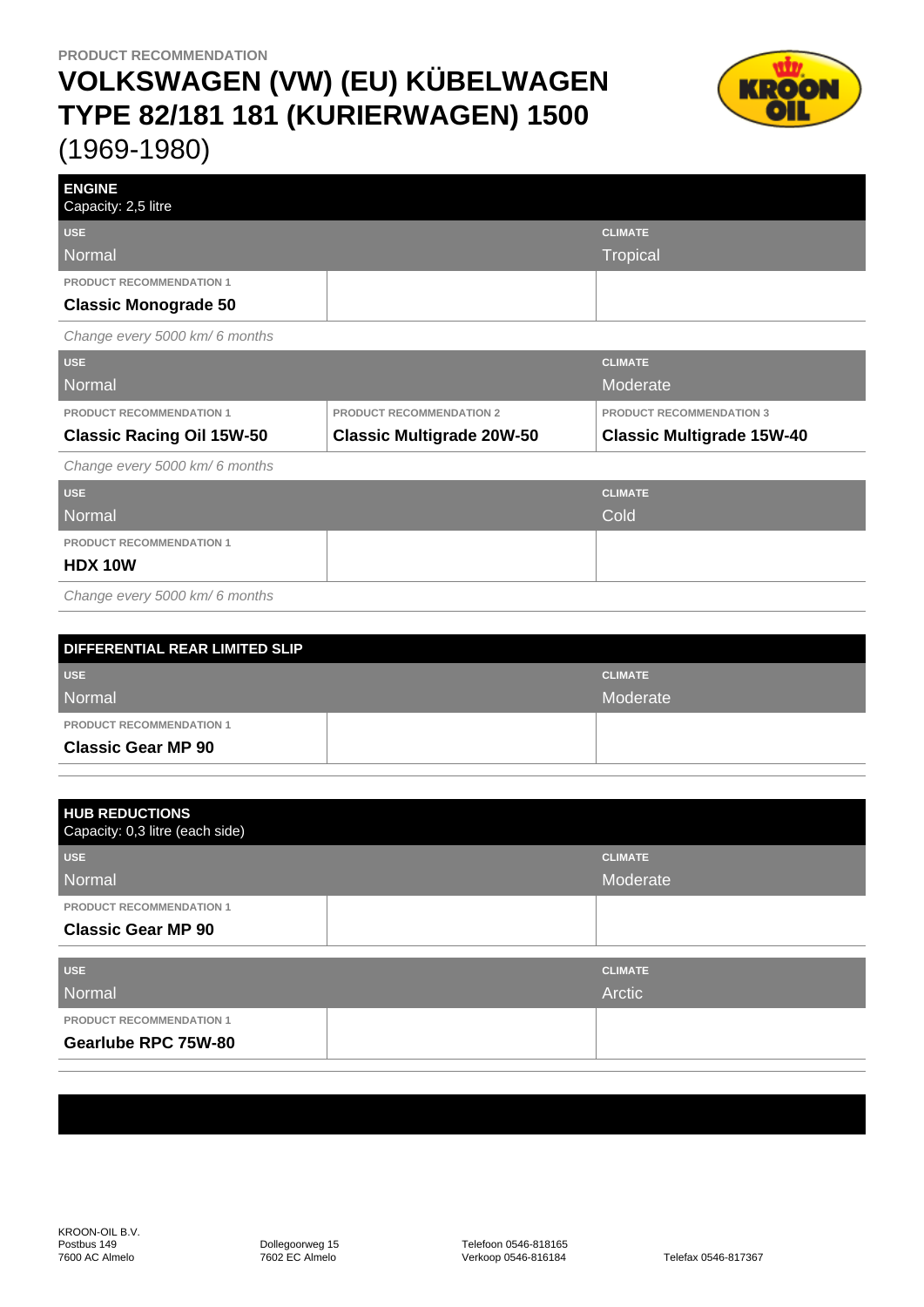## **VOLKSWAGEN (VW) (EU) KÜBELWAGEN TYPE 82/181 181 (KURIERWAGEN) 1500** (1969-1980)



| <b>ENGINE</b><br>Capacity: 2,5 litre |                                  |                                  |
|--------------------------------------|----------------------------------|----------------------------------|
| <b>USE</b>                           |                                  | <b>CLIMATE</b>                   |
| <b>Normal</b>                        |                                  | <b>Tropical</b>                  |
| PRODUCT RECOMMENDATION 1             |                                  |                                  |
| <b>Classic Monograde 50</b>          |                                  |                                  |
| Change every 5000 km/6 months        |                                  |                                  |
| <b>USE</b>                           |                                  | <b>CLIMATE</b>                   |
| <b>Normal</b>                        |                                  | Moderate                         |
| <b>PRODUCT RECOMMENDATION 1</b>      | <b>PRODUCT RECOMMENDATION 2</b>  | <b>PRODUCT RECOMMENDATION 3</b>  |
| <b>Classic Racing Oil 15W-50</b>     | <b>Classic Multigrade 20W-50</b> | <b>Classic Multigrade 15W-40</b> |
| Change every 5000 km/6 months        |                                  |                                  |
| <b>USE</b>                           |                                  | <b>CLIMATE</b>                   |
| Normal                               |                                  | Cold                             |
| <b>PRODUCT RECOMMENDATION 1</b>      |                                  |                                  |
| <b>HDX 10W</b>                       |                                  |                                  |
| Change every 5000 km/6 months        |                                  |                                  |
|                                      |                                  |                                  |

| DIFFERENTIAL REAR LIMITED SLIP  |  |                |  |  |
|---------------------------------|--|----------------|--|--|
| <b>USE</b>                      |  | <b>CLIMATE</b> |  |  |
| Normal                          |  | Moderate       |  |  |
| <b>PRODUCT RECOMMENDATION 1</b> |  |                |  |  |
| <b>Classic Gear MP 90</b>       |  |                |  |  |

| <b>HUB REDUCTIONS</b><br>Capacity: 0,3 litre (each side) |                |
|----------------------------------------------------------|----------------|
| <b>USE</b>                                               | <b>CLIMATE</b> |
| Normal                                                   | Moderate       |
| <b>PRODUCT RECOMMENDATION 1</b>                          |                |
| <b>Classic Gear MP 90</b>                                |                |
| <b>USE</b>                                               | <b>CLIMATE</b> |
| Normal                                                   | Arctic         |
| <b>PRODUCT RECOMMENDATION 1</b>                          |                |
| Gearlube RPC 75W-80                                      |                |